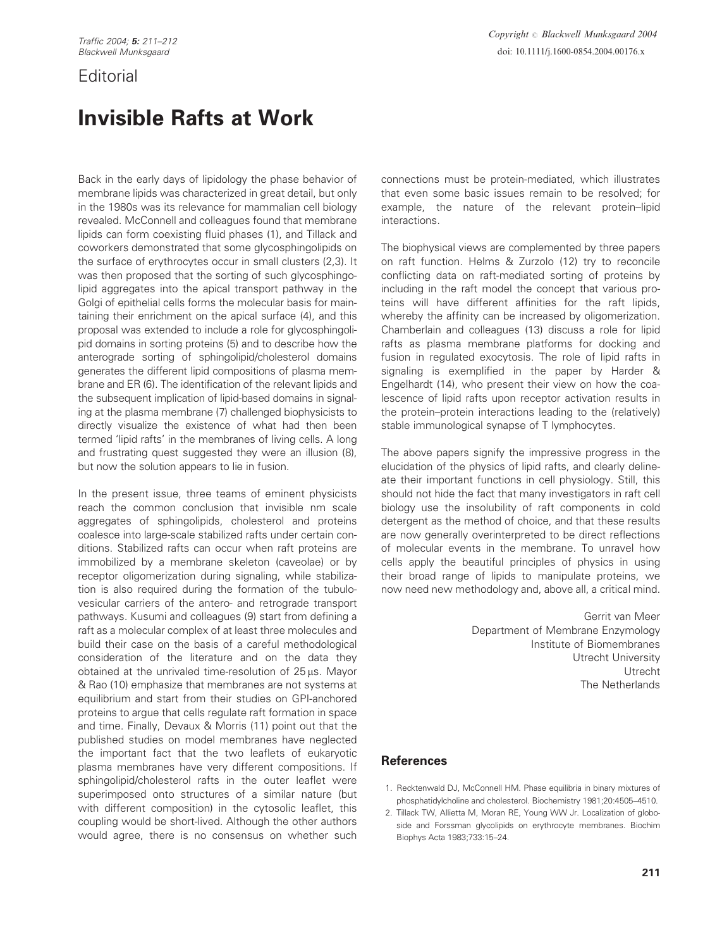## **Editorial**

## Invisible Rafts at Work

Back in the early days of lipidology the phase behavior of membrane lipids was characterized in great detail, but only in the 1980s was its relevance for mammalian cell biology revealed. McConnell and colleagues found that membrane lipids can form coexisting fluid phases (1), and Tillack and coworkers demonstrated that some glycosphingolipids on the surface of erythrocytes occur in small clusters (2,3). It was then proposed that the sorting of such glycosphingolipid aggregates into the apical transport pathway in the Golgi of epithelial cells forms the molecular basis for maintaining their enrichment on the apical surface (4), and this proposal was extended to include a role for glycosphingolipid domains in sorting proteins (5) and to describe how the anterograde sorting of sphingolipid/cholesterol domains generates the different lipid compositions of plasma membrane and ER (6). The identification of the relevant lipids and the subsequent implication of lipid-based domains in signaling at the plasma membrane (7) challenged biophysicists to directly visualize the existence of what had then been termed 'lipid rafts' in the membranes of living cells. A long and frustrating quest suggested they were an illusion (8), but now the solution appears to lie in fusion.

In the present issue, three teams of eminent physicists reach the common conclusion that invisible nm scale aggregates of sphingolipids, cholesterol and proteins coalesce into large-scale stabilized rafts under certain conditions. Stabilized rafts can occur when raft proteins are immobilized by a membrane skeleton (caveolae) or by receptor oligomerization during signaling, while stabilization is also required during the formation of the tubulovesicular carriers of the antero- and retrograde transport pathways. Kusumi and colleagues (9) start from defining a raft as a molecular complex of at least three molecules and build their case on the basis of a careful methodological consideration of the literature and on the data they obtained at the unrivaled time-resolution of 25 *m*s. Mayor & Rao (10) emphasize that membranes are not systems at equilibrium and start from their studies on GPI-anchored proteins to argue that cells regulate raft formation in space and time. Finally, Devaux & Morris (11) point out that the published studies on model membranes have neglected the important fact that the two leaflets of eukaryotic plasma membranes have very different compositions. If sphingolipid/cholesterol rafts in the outer leaflet were superimposed onto structures of a similar nature (but with different composition) in the cytosolic leaflet, this coupling would be short-lived. Although the other authors would agree, there is no consensus on whether such

connections must be protein-mediated, which illustrates that even some basic issues remain to be resolved; for example, the nature of the relevant protein–lipid interactions.

The biophysical views are complemented by three papers on raft function. Helms & Zurzolo (12) try to reconcile conflicting data on raft-mediated sorting of proteins by including in the raft model the concept that various proteins will have different affinities for the raft lipids, whereby the affinity can be increased by oligomerization. Chamberlain and colleagues (13) discuss a role for lipid rafts as plasma membrane platforms for docking and fusion in regulated exocytosis. The role of lipid rafts in signaling is exemplified in the paper by Harder & Engelhardt (14), who present their view on how the coalescence of lipid rafts upon receptor activation results in the protein–protein interactions leading to the (relatively) stable immunological synapse of T lymphocytes.

The above papers signify the impressive progress in the elucidation of the physics of lipid rafts, and clearly delineate their important functions in cell physiology. Still, this should not hide the fact that many investigators in raft cell biology use the insolubility of raft components in cold detergent as the method of choice, and that these results are now generally overinterpreted to be direct reflections of molecular events in the membrane. To unravel how cells apply the beautiful principles of physics in using their broad range of lipids to manipulate proteins, we now need new methodology and, above all, a critical mind.

> Gerrit van Meer Department of Membrane Enzymology Institute of Biomembranes Utrecht University Utrecht The Netherlands

## **References**

- 1. Recktenwald DJ, McConnell HM. Phase equilibria in binary mixtures of phosphatidylcholine and cholesterol. Biochemistry 1981;20:4505–4510.
- 2. Tillack TW, Allietta M, Moran RE, Young WW Jr. Localization of globoside and Forssman glycolipids on erythrocyte membranes. Biochim Biophys Acta 1983;733:15–24.